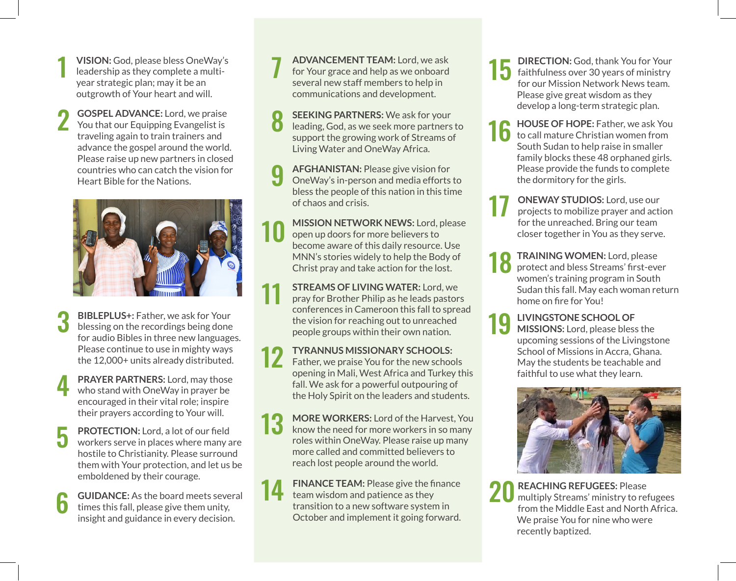- **1 VISION:** God, please bless OneWay's<br>
leadership as they complete a multiyear strategic plan; may it be an outgrowth of Your heart and will.
- **GOSPEL ADVANCE:** Lord, we praise You that our Equipping Evangelist is traveling again to train trainers and advance the gospel around the world. Please raise up new partners in closed countries who can catch the vision for Heart Bible for the Nations. 2



- **BIBLEPLUS+:** Father, we ask for Your blessing on the recordings being done for audio Bibles in three new languages. Please continue to use in mighty ways the 12,000+ units already distributed. 3
- **PRAYER PARTNERS:** Lord, may those who stand with OneWay in prayer be encouraged in their vital role; inspire their prayers according to Your will. 4
- **PROTECTION:** Lord, a lot of our field workers serve in places where many are hostile to Christianity. Please surround them with Your protection, and let us be emboldened by their courage. 5
- **6 GUIDANCE:** As the board meets several times this fall, please give them unity, incident and guidance in a very decision insight and guidance in every decision.

**ADVANCEMENT TEAM:** Lord, we ask for Your grace and help as we onboard several new staff members to help in communications and development. 7

- **SEEKING PARTNERS:** We ask for your leading, God, as we seek more partners to support the growing work of Streams of Living Water and OneWay Africa. 8
- **AFGHANISTAN:** Please give vision for OneWay's in-person and media efforts to bless the people of this nation in this time of chaos and crisis. 9
- **MISSION NETWORK NEWS:** Lord, please open up doors for more believers to become aware of this daily resource. Use MNN's stories widely to help the Body of Christ pray and take action for the lost. 10
- **STREAMS OF LIVING WATER:** Lord, we pray for Brother Philip as he leads pastors conferences in Cameroon this fall to spread the vision for reaching out to unreached people groups within their own nation. 11

**TYRANNUS MISSIONARY SCHOOLS:**  Father, we praise You for the new schools opening in Mali, West Africa and Turkey this fall. We ask for a powerful outpouring of the Holy Spirit on the leaders and students. 12

**MORE WORKERS:** Lord of the Harvest, You know the need for more workers in so many roles within OneWay. Please raise up many more called and committed believers to reach lost people around the world. 13

**FINANCE TEAM:** Please give the finance team wisdom and patience as they transition to a new software system in October and implement it going forward. 14

- **DIRECTION:** God, thank You for Your faithfulness over 30 years of ministry for our Mission Network News team. Please give great wisdom as they develop a long-term strategic plan. 15
- **HOUSE OF HOPE:** Father, we ask You to call mature Christian women from South Sudan to help raise in smaller family blocks these 48 orphaned girls. Please provide the funds to complete the dormitory for the girls. 16
- 17 **ONEWAY STUDIOS:** Lord, use our projects to mobilize prayer and action for the unreached. Bring our team closer together in You as they serve.
- **TRAINING WOMEN:** Lord, please protect and bless Streams' first-ever women's training program in South Sudan this fall. May each woman return home on fire for You! 18
- **LIVINGSTONE SCHOOL OF MISSIONS:** Lord, please bless the upcoming sessions of the Livingstone School of Missions in Accra, Ghana. May the students be teachable and faithful to use what they learn. 19



**REACHING REFUGEES:** Please 20 REACHING REFUGEES: Please<br>multiply Streams' ministry to refugees from the Middle East and North Africa. We praise You for nine who were recently baptized.